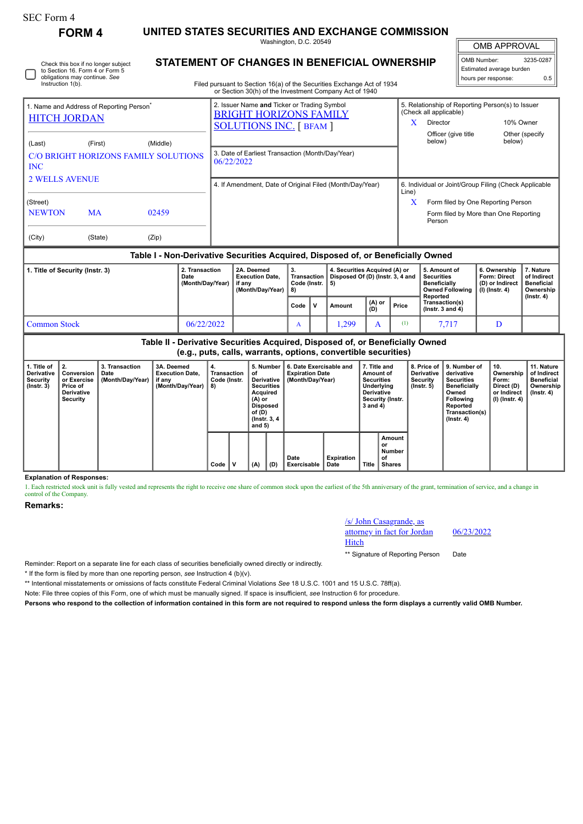|                                                                                                                                                                           | <b>FORM 4</b>                                                                                           | UNITED STATES SECURITIES AND EXCHANGE COMMISSION                                 |  |                                                                                                                                                                                  |                                                |              |                                                                                                                                                                  |                     |                                                                |                                                                                    |  |                                                                             |                                                            |  |  |
|---------------------------------------------------------------------------------------------------------------------------------------------------------------------------|---------------------------------------------------------------------------------------------------------|----------------------------------------------------------------------------------|--|----------------------------------------------------------------------------------------------------------------------------------------------------------------------------------|------------------------------------------------|--------------|------------------------------------------------------------------------------------------------------------------------------------------------------------------|---------------------|----------------------------------------------------------------|------------------------------------------------------------------------------------|--|-----------------------------------------------------------------------------|------------------------------------------------------------|--|--|
|                                                                                                                                                                           |                                                                                                         |                                                                                  |  | Washington, D.C. 20549                                                                                                                                                           |                                                |              |                                                                                                                                                                  | <b>OMB APPROVAL</b> |                                                                |                                                                                    |  |                                                                             |                                                            |  |  |
| Instruction 1(b).                                                                                                                                                         | Check this box if no longer subject<br>to Section 16. Form 4 or Form 5<br>obligations may continue. See |                                                                                  |  | STATEMENT OF CHANGES IN BENEFICIAL OWNERSHIP<br>Filed pursuant to Section 16(a) of the Securities Exchange Act of 1934<br>or Section 30(h) of the Investment Company Act of 1940 |                                                |              |                                                                                                                                                                  |                     | OMB Number:<br>Estimated average burden<br>hours per response: | 3235-0287<br>0.5                                                                   |  |                                                                             |                                                            |  |  |
| 1. Name and Address of Reporting Person <sup>®</sup><br><b>HITCH JORDAN</b><br>(Middle)<br>(Last)<br>(First)<br><b>C/O BRIGHT HORIZONS FAMILY SOLUTIONS</b><br><b>INC</b> |                                                                                                         |                                                                                  |  | 2. Issuer Name and Ticker or Trading Symbol<br><b>BRIGHT HORIZONS FAMILY</b><br><b>SOLUTIONS INC.</b> [ BFAM ]<br>3. Date of Earliest Transaction (Month/Day/Year)<br>06/22/2022 |                                                | X            | 5. Relationship of Reporting Person(s) to Issuer<br>(Check all applicable)<br>10% Owner<br>Director<br>Officer (give title<br>Other (specify<br>below)<br>below) |                     |                                                                |                                                                                    |  |                                                                             |                                                            |  |  |
| <b>2 WELLS AVENUE</b>                                                                                                                                                     |                                                                                                         |                                                                                  |  | 4. If Amendment, Date of Original Filed (Month/Day/Year)                                                                                                                         |                                                |              |                                                                                                                                                                  |                     |                                                                | 6. Individual or Joint/Group Filing (Check Applicable<br>Line)                     |  |                                                                             |                                                            |  |  |
| (Street)<br><b>NEWTON</b>                                                                                                                                                 | <b>MA</b>                                                                                               | 02459                                                                            |  |                                                                                                                                                                                  |                                                |              |                                                                                                                                                                  |                     | $\bf{X}$                                                       | Person                                                                             |  | Form filed by One Reporting Person<br>Form filed by More than One Reporting |                                                            |  |  |
| (City)                                                                                                                                                                    | (State)                                                                                                 | (Zip)                                                                            |  |                                                                                                                                                                                  |                                                |              |                                                                                                                                                                  |                     |                                                                |                                                                                    |  |                                                                             |                                                            |  |  |
|                                                                                                                                                                           |                                                                                                         | Table I - Non-Derivative Securities Acquired, Disposed of, or Beneficially Owned |  |                                                                                                                                                                                  |                                                |              |                                                                                                                                                                  |                     |                                                                |                                                                                    |  |                                                                             |                                                            |  |  |
| 2. Transaction<br>1. Title of Security (Instr. 3)<br>Date<br>(Month/Day/Year)                                                                                             |                                                                                                         |                                                                                  |  | 2A. Deemed<br><b>Execution Date,</b><br>if any<br>(Month/Day/Year)                                                                                                               | 3.<br><b>Transaction</b><br>Code (Instr.<br>8) |              | 4. Securities Acquired (A) or<br>Disposed Of (D) (Instr. 3, 4 and<br>5)                                                                                          |                     |                                                                | 5. Amount of<br><b>Securities</b><br><b>Beneficially</b><br><b>Owned Following</b> |  | 6. Ownership<br>Form: Direct<br>(D) or Indirect<br>$(I)$ (Instr. 4)         | 7. Nature<br>of Indirect<br><b>Beneficial</b><br>Ownership |  |  |
|                                                                                                                                                                           |                                                                                                         |                                                                                  |  |                                                                                                                                                                                  | Code                                           | $\mathsf{v}$ | Amount                                                                                                                                                           | $(A)$ or<br>(D)     | Price                                                          | Reported<br>Transaction(s)<br>( $lnstr. 3 and 4$ )                                 |  |                                                                             | $($ lnstr. 4 $)$                                           |  |  |

**Table II - Derivative Securities Acquired, Disposed of, or Beneficially Owned (e.g., puts, calls, warrants, options, convertible securities)**

Common Stock 06/22/2022 A 1,299 A (1) 7,717 D

| i. Title of<br>Derivative<br>Securitv<br>(Instr. 3) | 2.<br>Conversion<br>or Exercise<br>Price of<br><b>Derivative</b><br>Security | 3. Transaction<br>Date<br>(Month/Dav/Year) | 3A. Deemed<br><b>Execution Date.</b><br>if any<br>(Month/Day/Year) | 4.<br>Transaction<br>Code (Instr.<br>8) |  | 5. Number<br>of<br>Derivative<br><b>Securities</b><br>Acquired<br>(A) or<br><b>Disposed</b><br>of (D)<br>(Instr. 3, 4)<br>and 5) |     | 6. Date Exercisable and<br><b>Expiration Date</b><br>(Month/Dav/Year) |                    | 7. Title and<br>Amount of<br><b>Securities</b><br>Underlying<br><b>Derivative</b><br>Security (Instr.<br>$3$ and $4)$ |                                                | <b>Derivative</b><br>Security<br>$($ lnstr. 5 $)$ | 8. Price of 19. Number of<br>derivative<br><b>Securities</b><br><b>Beneficially</b><br>Owned<br><b>Following</b><br>Reported<br>Transaction(s)<br>$($ Instr. 4 $)$ | 10.<br>Ownership<br>Form:<br>Direct (D)<br>or Indirect<br>(I) (Instr. 4) | 11. Nature<br>of Indirect<br><b>Beneficial</b><br>Ownership<br>$($ lnstr. 4 $)$ |
|-----------------------------------------------------|------------------------------------------------------------------------------|--------------------------------------------|--------------------------------------------------------------------|-----------------------------------------|--|----------------------------------------------------------------------------------------------------------------------------------|-----|-----------------------------------------------------------------------|--------------------|-----------------------------------------------------------------------------------------------------------------------|------------------------------------------------|---------------------------------------------------|--------------------------------------------------------------------------------------------------------------------------------------------------------------------|--------------------------------------------------------------------------|---------------------------------------------------------------------------------|
|                                                     |                                                                              |                                            |                                                                    | Code                                    |  | (A)                                                                                                                              | (D) | Date<br>Exercisable                                                   | Expiration<br>Date |                                                                                                                       | Amount<br>or<br>Number<br>оf<br>Title   Shares |                                                   |                                                                                                                                                                    |                                                                          |                                                                                 |

**Explanation of Responses:**

1. Each restricted stock unit is fully vested and represents the right to receive one share of common stock upon the earliest of the 5th anniversary of the grant, termination of service, and a change in control of the Company.

**Remarks:**

/s/ John Casagrande, as attorney in fact for Jordan Hitch \*\* Signature of Reporting Person Date

06/23/2022

Reminder: Report on a separate line for each class of securities beneficially owned directly or indirectly.

\* If the form is filed by more than one reporting person, *see* Instruction 4 (b)(v).

\*\* Intentional misstatements or omissions of facts constitute Federal Criminal Violations *See* 18 U.S.C. 1001 and 15 U.S.C. 78ff(a).

Note: File three copies of this Form, one of which must be manually signed. If space is insufficient, *see* Instruction 6 for procedure.

**Persons who respond to the collection of information contained in this form are not required to respond unless the form displays a currently valid OMB Number.**